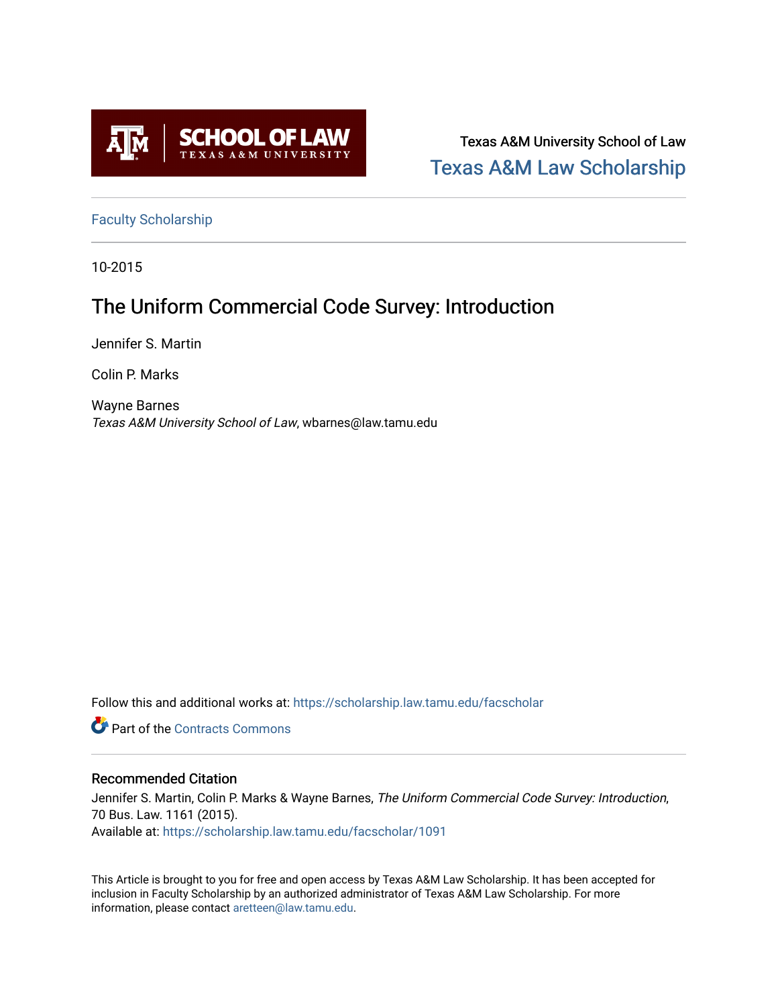

Texas A&M University School of Law [Texas A&M Law Scholarship](https://scholarship.law.tamu.edu/) 

[Faculty Scholarship](https://scholarship.law.tamu.edu/facscholar)

10-2015

## The Uniform Commercial Code Survey: Introduction

Jennifer S. Martin

Colin P. Marks

Wayne Barnes Texas A&M University School of Law, wbarnes@law.tamu.edu

Follow this and additional works at: [https://scholarship.law.tamu.edu/facscholar](https://scholarship.law.tamu.edu/facscholar?utm_source=scholarship.law.tamu.edu%2Ffacscholar%2F1091&utm_medium=PDF&utm_campaign=PDFCoverPages) 

**C** Part of the [Contracts Commons](http://network.bepress.com/hgg/discipline/591?utm_source=scholarship.law.tamu.edu%2Ffacscholar%2F1091&utm_medium=PDF&utm_campaign=PDFCoverPages)

## Recommended Citation

Jennifer S. Martin, Colin P. Marks & Wayne Barnes, The Uniform Commercial Code Survey: Introduction, 70 Bus. Law. 1161 (2015). Available at: [https://scholarship.law.tamu.edu/facscholar/1091](https://scholarship.law.tamu.edu/facscholar/1091?utm_source=scholarship.law.tamu.edu%2Ffacscholar%2F1091&utm_medium=PDF&utm_campaign=PDFCoverPages) 

This Article is brought to you for free and open access by Texas A&M Law Scholarship. It has been accepted for inclusion in Faculty Scholarship by an authorized administrator of Texas A&M Law Scholarship. For more information, please contact [aretteen@law.tamu.edu](mailto:aretteen@law.tamu.edu).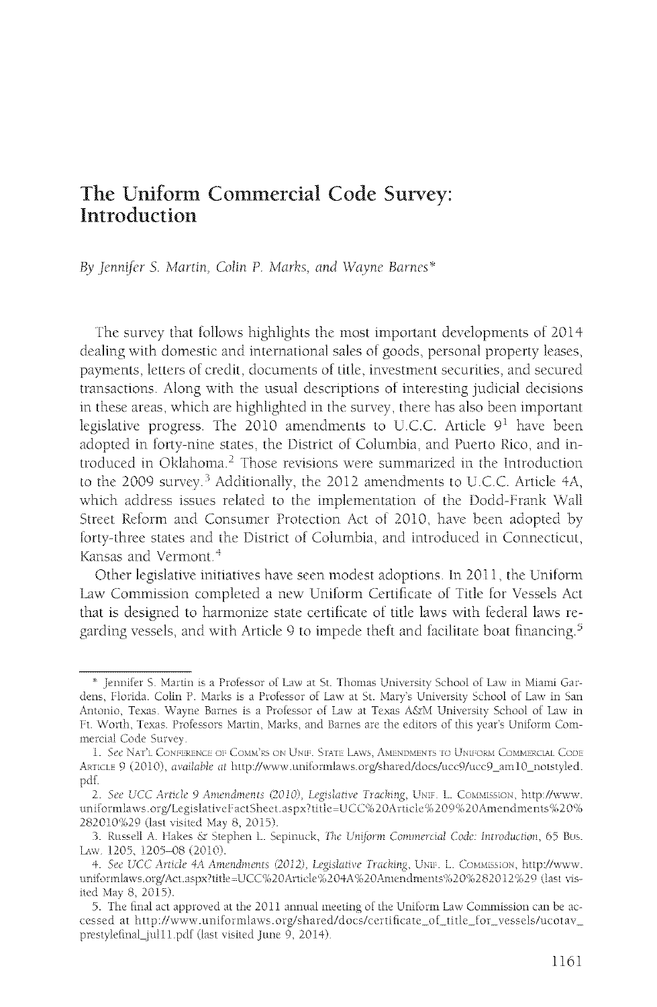## The Uniform Commercial Code Survey: **Introduction**

By Jennifer S. Martin, Colin P. Marks, and Wayne Barnes\*

The survey that follows highlights the most important developments of 2014 dealing with domestic and international sales of goods, personal property leases, payments, letters of credit, documents of title, investment securities, and secured transactions. Along with the usual descriptions of interesting judicial decisions in these areas, which are highlighted in the survey, there has also been important legislative progress. The 2010 amendments to U.C.C. Article  $9<sup>1</sup>$  have been adopted in forty-nine states, the District of Columbia, and Puerto Rico, and introduced in Oklahoma.<sup>2</sup> Those revisions were summarized in the Introduction to the 2009 survey.<sup>3</sup> Additionally, the 2012 amendments to U.C.C. Article 4A, which address issues related to the implementation of the Dodd-Frank Wall Street Reform and Consumer Protection Act of 2010, have been adopted by forty-three states and the District of Columbia, and introduced in Connecticut, Kansas and Vermont.<sup>4</sup>

Other legislative initiatives have seen modest adoptions. In 2011, the Uniform Law Commission completed a new Uniform Certificate of Title for Vessels Act that is designed to harmonize state certificate of title laws with federal laws regarding vessels, and with Article 9 to impede theft and facilitate boat financing.<sup>5</sup>

<sup>\*</sup> Jennifer S. Martin is a Professor of Law at St. Thomas University School of Law in Miami Gardens, Florida. Colin P. Marks is a Professor of Law at St. Mary's University School of Law in San Antonio, Texas. Wayne Barnes is a Professor of Law at Texas A&M University School of Law in Ft. Worth, Texas. Professors Martin, Marks, and Barnes are the editors of this year's Uniform Commercial Code Survey.

<sup>1.</sup> See NAT'L CONFERENCE OF COMM'RS ON UNIF. STATE LAWS, AMENDMENTS TO UNIFORM COMMERCIAL CODE ARTICLE 9 (2010), available at http://www.uniformlaws.org/shared/docs/ucc9/ucc9\_am10\_notstyled. pdf.

<sup>2.</sup> See UCC Article 9 Amendments (2010), Legislative Tracking, UNIF. L. COMMISSION, http://www. uniformlaws.org/LegislativeFactSheet.aspx?title=UCC%20Article%209%20Amendments%20% 282010%29 (last visited May 8, 2015).

<sup>3.</sup> Russell A. Hakes & Stephen L. Sepinuck, The Uniform Commercial Code: Introduction, 65 Bus. Law. 1205, 1205-08 (2010).

<sup>4.</sup> See UCC Article 4A Amendments (2012), Legislative Tracking, UNIF. L. COMMISSION, http://www. uniformlaws.org/Act.aspx?title=UCC%20Article%204A%20Amendments%20%282012%29 (last visited May 8, 2015).

<sup>5.</sup> The final act approved at the 2011 annual meeting of the Uniform Law Commission can be accessed at http://www.uniformlaws.org/shared/docs/certificate\_of\_title\_for\_vessels/ucotav\_ prestylefinal\_jul11.pdf (last visited June 9, 2014).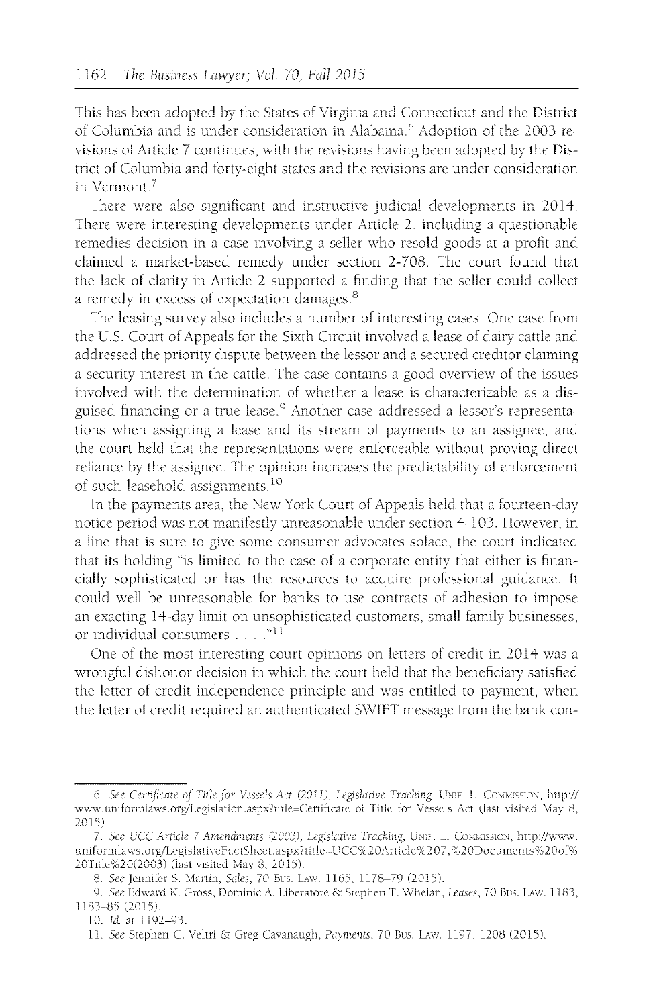This has been adopted **by** the States of Virginia and Connecticut and the District of Columbia and is under consideration in Alabama.<sup>6</sup>Adoption of the *2003* revisions of Article **7** continues, with the revisions having been adopted **by** the District of Columbia and forty-eight states and the revisions are under consideration in Vermont.'

There were also significant and instructive judicial developments in 2014, There were interesting developments under Article 2, including a questionable remedies decision in a case involving a seller who resold goods at a profit and claimed a market-based remedy under section **2-708.** The court found that the lack of clarity in Article 2 supported a finding that the seller could collect a remedy in excess of expectation damages.

The leasing survey also includes a number of interesting cases. One case from the **U.S.** Court of Appeals for the Sixth Circuit involved a lease of dairy cattle and addressed the priority dispute between the lessor and a secured creditor claiming a security interest in the cattle. The case contains a good overview of the issues involved with the determination of whether a lease is characterizable as a disguised financing or a true lease.<sup>9</sup> Another case addressed a lessor's representations when assigning a lease and its stream of payments to an assignee, and the court **held** that the representations were enforceable without proving direct reliance **by** the assignee. The opinion increases the predictability of enforcement of such leasehold assignments **<sup>10</sup>**

In the payments area, the New York Court of Appeals held that a fourteen-day notice period was not manifestly unreasonable under section 4-103. However, in a line that is sure to give some consumer advocates solace, the court indicated that its holding "is limited to the case of a corporate entity that either is financially sophisticated or has the resources to acquire professional guidance. It **could** well be unreasonable for banks to use contracts of adhesion to impose an exacting 14-day linit on unsophisticated customers, small family businesses, or individual consumers **.**

One of the most interesting court opinions on letters of credit in **2014** was a wrongful dishonor decision in which the court **held** that the beneficiary satisfied the letter of credit independence principle and was entitled to payment, when the letter of credit required an authenticated SWIFT message from the bank con-

<sup>6.</sup> See Certificate of Title for Vessels Act (2011), Legislative Tracking, UNIF. L. COMMISSION, http:// www.uniformlaws.org/Legislation.aspx?title=Certificate of Title for Vessels Act (last visited May 8, **2015)**

*<sup>7.</sup>See UCC* Article **7** Amendmcnts *(2003),* Legislative Tracking, **UN..** L. **Cy Nsios1N,** http:/./www. uniformlaws.org/LegislativeFactSheet.aspx?title=UCC%20Article%207,%20Documents%20of% 20Title%20(2003) (last visited May 8, 2015).

**<sup>8.</sup>** *See* Jernifer **S.** Martin, Sales, **70** Bus. LAwn **1165, 1178-79 (2015).**

**<sup>9.</sup>** See Edward K. Gross, Dominic **A.** Liberaiore **&** Stephen T. Whelan, Leases, **70** Bus. LAW. 1183, **1183-85** (2015).

<sup>10.</sup> *Id.* at 1192-93.

<sup>11</sup> *See* Stephen **C.** Veltri **&** Greg Cavanaugh, Payments, **70** Bus Lxw. **1107, 1208 (2015)**